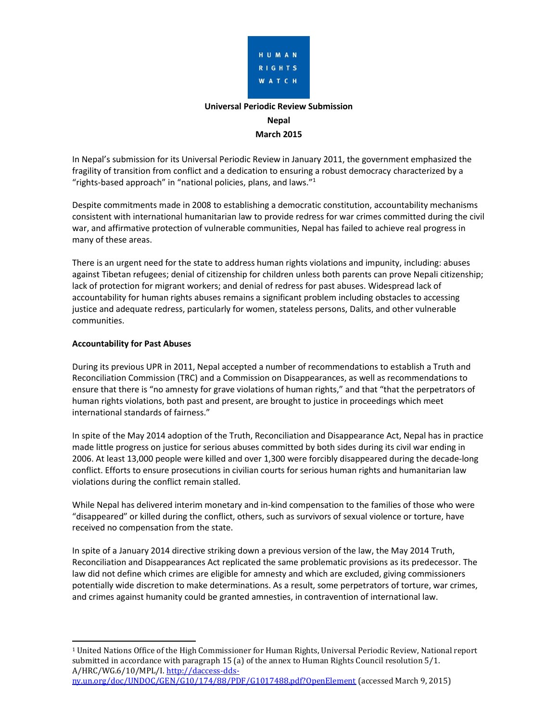

# **Universal Periodic Review Submission Nepal March 2015**

In Nepal's submission for its Universal Periodic Review in January 2011, the government emphasized the fragility of transition from conflict and a dedication to ensuring a robust democracy characterized by a "rights-based approach" in "national policies, plans, and laws."<sup>1</sup>

Despite commitments made in 2008 to establishing a democratic constitution, accountability mechanisms consistent with international humanitarian law to provide redress for war crimes committed during the civil war, and affirmative protection of vulnerable communities, Nepal has failed to achieve real progress in many of these areas.

There is an urgent need for the state to address human rights violations and impunity, including: abuses against Tibetan refugees; denial of citizenship for children unless both parents can prove Nepali citizenship; lack of protection for migrant workers; and denial of redress for past abuses. Widespread lack of accountability for human rights abuses remains a significant problem including obstacles to accessing justice and adequate redress, particularly for women, stateless persons, Dalits, and other vulnerable communities.

# **Accountability for Past Abuses**

During its previous UPR in 2011, Nepal accepted a number of recommendations to establish a Truth and Reconciliation Commission (TRC) and a Commission on Disappearances, as well as recommendations to ensure that there is "no amnesty for grave violations of human rights," and that "that the perpetrators of human rights violations, both past and present, are brought to justice in proceedings which meet international standards of fairness."

In spite of the May 2014 adoption of the Truth, Reconciliation and Disappearance Act, Nepal has in practice made little progress on justice for serious abuses committed by both sides during its civil war ending in 2006. At least 13,000 people were killed and over 1,300 were forcibly disappeared during the decade-long conflict. Efforts to ensure prosecutions in civilian courts for serious human rights and humanitarian law violations during the conflict remain stalled.

While Nepal has delivered interim monetary and in-kind compensation to the families of those who were "disappeared" or killed during the conflict, others, such as survivors of sexual violence or torture, have received no compensation from the state.

In spite of a January 2014 directive striking down a previous version of the law, the May 2014 Truth, Reconciliation and Disappearances Act replicated the same problematic provisions as its predecessor. The law did not define which crimes are eligible for amnesty and which are excluded, giving commissioners potentially wide discretion to make determinations. As a result, some perpetrators of torture, war crimes, and crimes against humanity could be granted amnesties, in contravention of international law.

 <sup>1</sup> United Nations Office of the High Commissioner for Human Rights, Universal Periodic Review, National report submitted in accordance with paragraph 15 (a) of the annex to Human Rights Council resolution 5/1. A/HRC/WG.6/10/MPL/I. http://daccess-ddsny.un.org/doc/UNDOC/GEN/G10/174/88/PDF/G1017488.pdf?OpenElement (accessed March 9, 2015)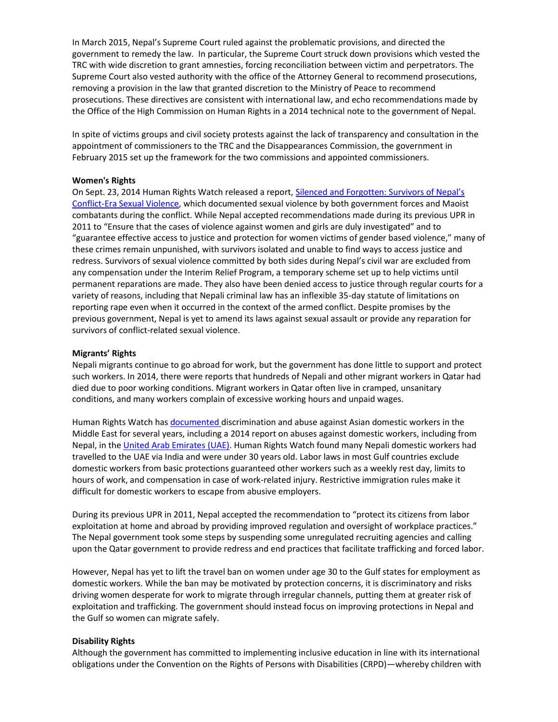In March 2015, Nepal's Supreme Court ruled against the problematic provisions, and directed the government to remedy the law. In particular, the Supreme Court struck down provisions which vested the TRC with wide discretion to grant amnesties, forcing reconciliation between victim and perpetrators. The Supreme Court also vested authority with the office of the Attorney General to recommend prosecutions, removing a provision in the law that granted discretion to the Ministry of Peace to recommend prosecutions. These directives are consistent with international law, and echo recommendations made by the Office of the High Commission on Human Rights in a 2014 technical note to the government of Nepal.

In spite of victims groups and civil society protests against the lack of transparency and consultation in the appointment of commissioners to the TRC and the Disappearances Commission, the government in February 2015 set up the framework for the two commissions and appointed commissioners.

#### **Women's Rights**

On Sept. 23, 2014 Human Rights Watch released a report, Silenced and Forgotten: Survivors of Nepal's Conflict-Era Sexual Violence, which documented sexual violence by both government forces and Maoist combatants during the conflict. While Nepal accepted recommendations made during its previous UPR in 2011 to "Ensure that the cases of violence against women and girls are duly investigated" and to "guarantee effective access to justice and protection for women victims of gender based violence," many of these crimes remain unpunished, with survivors isolated and unable to find ways to access justice and redress. Survivors of sexual violence committed by both sides during Nepal's civil war are excluded from any compensation under the Interim Relief Program, a temporary scheme set up to help victims until permanent reparations are made. They also have been denied access to justice through regular courts for a variety of reasons, including that Nepali criminal law has an inflexible 35-day statute of limitations on reporting rape even when it occurred in the context of the armed conflict. Despite promises by the previous government, Nepal is yet to amend its laws against sexual assault or provide any reparation for survivors of conflict-related sexual violence.

#### **Migrants' Rights**

Nepali migrants continue to go abroad for work, but the government has done little to support and protect such workers. In 2014, there were reports that hundreds of Nepali and other migrant workers in Qatar had died due to poor working conditions. Migrant workers in Qatar often live in cramped, unsanitary conditions, and many workers complain of excessive working hours and unpaid wages.

Human Rights Watch has documented discrimination and abuse against Asian domestic workers in the Middle East for several years, including a 2014 report on abuses against domestic workers, including from Nepal, in the United Arab Emirates (UAE). Human Rights Watch found many Nepali domestic workers had travelled to the UAE via India and were under 30 years old. Labor laws in most Gulf countries exclude domestic workers from basic protections guaranteed other workers such as a weekly rest day, limits to hours of work, and compensation in case of work-related injury. Restrictive immigration rules make it difficult for domestic workers to escape from abusive employers.

During its previous UPR in 2011, Nepal accepted the recommendation to "protect its citizens from labor exploitation at home and abroad by providing improved regulation and oversight of workplace practices." The Nepal government took some steps by suspending some unregulated recruiting agencies and calling upon the Qatar government to provide redress and end practices that facilitate trafficking and forced labor.

However, Nepal has yet to lift the travel ban on women under age 30 to the Gulf states for employment as domestic workers. While the ban may be motivated by protection concerns, it is discriminatory and risks driving women desperate for work to migrate through irregular channels, putting them at greater risk of exploitation and trafficking. The government should instead focus on improving protections in Nepal and the Gulf so women can migrate safely.

#### **Disability Rights**

Although the government has committed to implementing inclusive education in line with its international obligations under the Convention on the Rights of Persons with Disabilities (CRPD)—whereby children with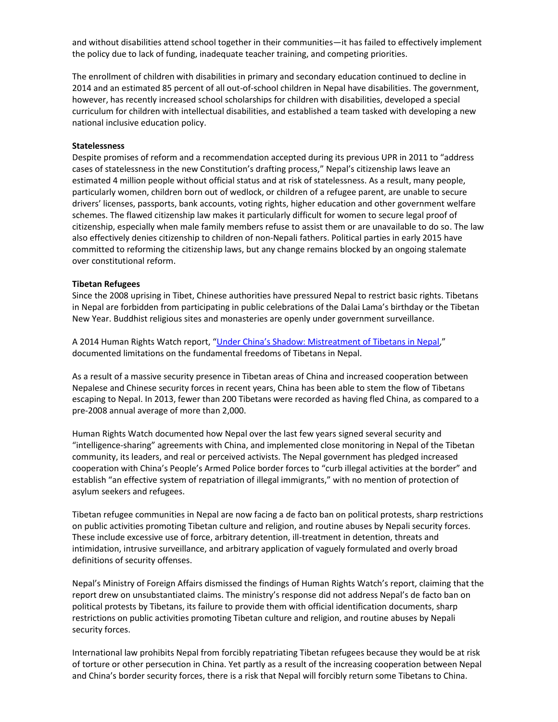and without disabilities attend school together in their communities—it has failed to effectively implement the policy due to lack of funding, inadequate teacher training, and competing priorities.

The enrollment of children with disabilities in primary and secondary education continued to decline in 2014 and an estimated 85 percent of all out-of-school children in Nepal have disabilities. The government, however, has recently increased school scholarships for children with disabilities, developed a special curriculum for children with intellectual disabilities, and established a team tasked with developing a new national inclusive education policy.

#### **Statelessness**

Despite promises of reform and a recommendation accepted during its previous UPR in 2011 to "address cases of statelessness in the new Constitution's drafting process," Nepal's citizenship laws leave an estimated 4 million people without official status and at risk of statelessness. As a result, many people, particularly women, children born out of wedlock, or children of a refugee parent, are unable to secure drivers' licenses, passports, bank accounts, voting rights, higher education and other government welfare schemes. The flawed citizenship law makes it particularly difficult for women to secure legal proof of citizenship, especially when male family members refuse to assist them or are unavailable to do so. The law also effectively denies citizenship to children of non-Nepali fathers. Political parties in early 2015 have committed to reforming the citizenship laws, but any change remains blocked by an ongoing stalemate over constitutional reform.

#### **Tibetan Refugees**

Since the 2008 uprising in Tibet, Chinese authorities have pressured Nepal to restrict basic rights. Tibetans in Nepal are forbidden from participating in public celebrations of the Dalai Lama's birthday or the Tibetan New Year. Buddhist religious sites and monasteries are openly under government surveillance.

A 2014 Human Rights Watch report, "Under China's Shadow: Mistreatment of Tibetans in Nepal," documented limitations on the fundamental freedoms of Tibetans in Nepal.

As a result of a massive security presence in Tibetan areas of China and increased cooperation between Nepalese and Chinese security forces in recent years, China has been able to stem the flow of Tibetans escaping to Nepal. In 2013, fewer than 200 Tibetans were recorded as having fled China, as compared to a pre-2008 annual average of more than 2,000.

Human Rights Watch documented how Nepal over the last few years signed several security and "intelligence-sharing" agreements with China, and implemented close monitoring in Nepal of the Tibetan community, its leaders, and real or perceived activists. The Nepal government has pledged increased cooperation with China's People's Armed Police border forces to "curb illegal activities at the border" and establish "an effective system of repatriation of illegal immigrants," with no mention of protection of asylum seekers and refugees.

Tibetan refugee communities in Nepal are now facing a de facto ban on political protests, sharp restrictions on public activities promoting Tibetan culture and religion, and routine abuses by Nepali security forces. These include excessive use of force, arbitrary detention, ill-treatment in detention, threats and intimidation, intrusive surveillance, and arbitrary application of vaguely formulated and overly broad definitions of security offenses.

Nepal's Ministry of Foreign Affairs dismissed the findings of Human Rights Watch's report, claiming that the report drew on unsubstantiated claims. The ministry's response did not address Nepal's de facto ban on political protests by Tibetans, its failure to provide them with official identification documents, sharp restrictions on public activities promoting Tibetan culture and religion, and routine abuses by Nepali security forces.

International law prohibits Nepal from forcibly repatriating Tibetan refugees because they would be at risk of torture or other persecution in China. Yet partly as a result of the increasing cooperation between Nepal and China's border security forces, there is a risk that Nepal will forcibly return some Tibetans to China.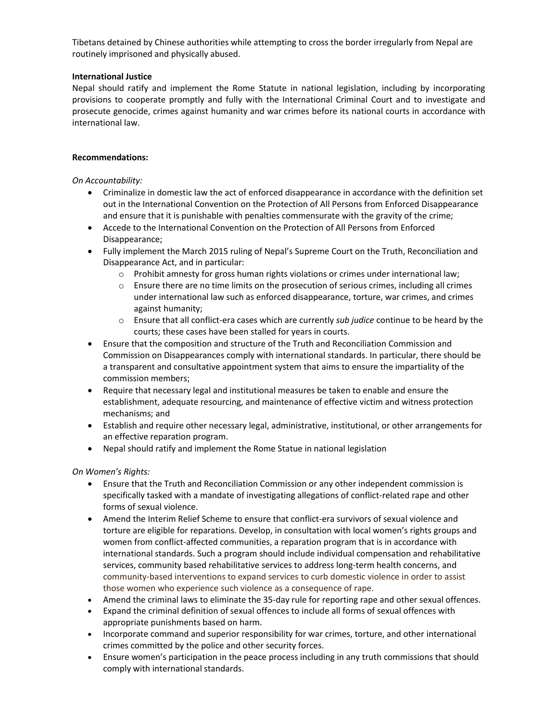Tibetans detained by Chinese authorities while attempting to cross the border irregularly from Nepal are routinely imprisoned and physically abused.

# **International Justice**

Nepal should ratify and implement the Rome Statute in national legislation, including by incorporating provisions to cooperate promptly and fully with the International Criminal Court and to investigate and prosecute genocide, crimes against humanity and war crimes before its national courts in accordance with international law.

# **Recommendations:**

*On Accountability:*

- Criminalize in domestic law the act of enforced disappearance in accordance with the definition set out in the International Convention on the Protection of All Persons from Enforced Disappearance and ensure that it is punishable with penalties commensurate with the gravity of the crime;
- Accede to the International Convention on the Protection of All Persons from Enforced Disappearance;
- Fully implement the March 2015 ruling of Nepal's Supreme Court on the Truth, Reconciliation and Disappearance Act, and in particular:
	- $\circ$  Prohibit amnesty for gross human rights violations or crimes under international law;
	- $\circ$  Ensure there are no time limits on the prosecution of serious crimes, including all crimes under international law such as enforced disappearance, torture, war crimes, and crimes against humanity;
	- o Ensure that all conflict-era cases which are currently *sub judice* continue to be heard by the courts; these cases have been stalled for years in courts.
- Ensure that the composition and structure of the Truth and Reconciliation Commission and Commission on Disappearances comply with international standards. In particular, there should be a transparent and consultative appointment system that aims to ensure the impartiality of the commission members;
- Require that necessary legal and institutional measures be taken to enable and ensure the establishment, adequate resourcing, and maintenance of effective victim and witness protection mechanisms; and
- Establish and require other necessary legal, administrative, institutional, or other arrangements for an effective reparation program.
- Nepal should ratify and implement the Rome Statue in national legislation

*On Women's Rights:*

- x Ensure that the Truth and Reconciliation Commission or any other independent commission is specifically tasked with a mandate of investigating allegations of conflict-related rape and other forms of sexual violence.
- Amend the Interim Relief Scheme to ensure that conflict-era survivors of sexual violence and torture are eligible for reparations. Develop, in consultation with local women's rights groups and women from conflict-affected communities, a reparation program that is in accordance with international standards. Such a program should include individual compensation and rehabilitative services, community based rehabilitative services to address long-term health concerns, and community-based interventions to expand services to curb domestic violence in order to assist those women who experience such violence as a consequence of rape.
- Amend the criminal laws to eliminate the 35-day rule for reporting rape and other sexual offences.
- x Expand the criminal definition of sexual offences to include all forms of sexual offences with appropriate punishments based on harm.
- Incorporate command and superior responsibility for war crimes, torture, and other international crimes committed by the police and other security forces.
- Ensure women's participation in the peace process including in any truth commissions that should comply with international standards.